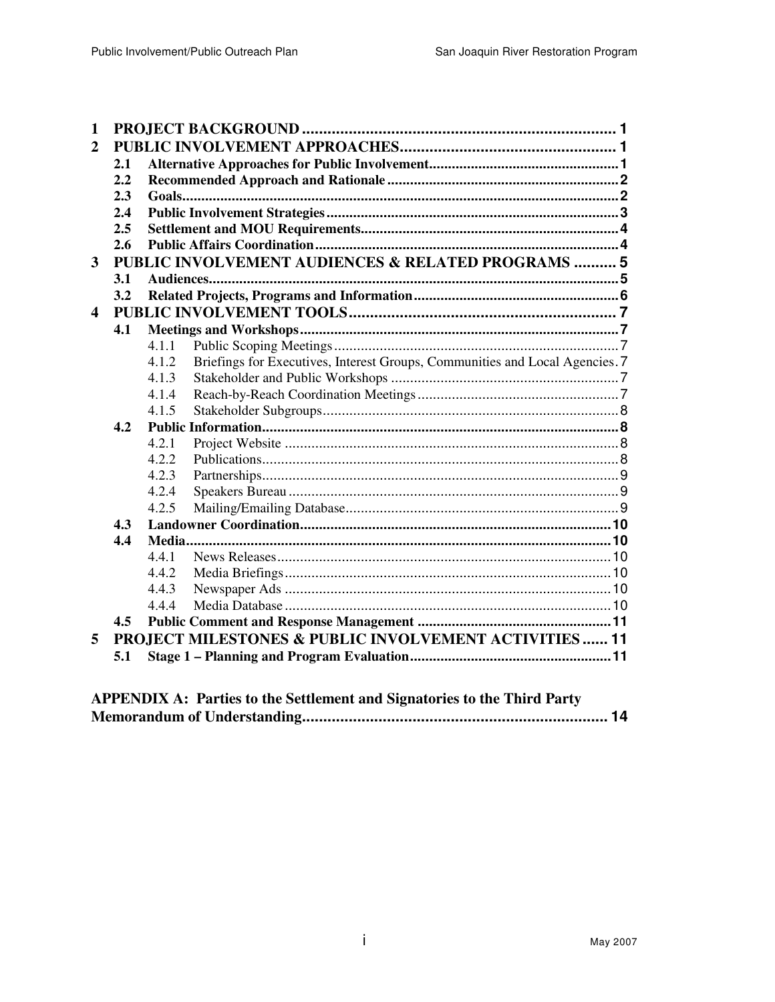| $\overline{2}$<br>2.1<br>2.2<br>2.3<br>2.4<br>2.5<br>2.6<br>PUBLIC INVOLVEMENT AUDIENCES & RELATED PROGRAMS  5<br>3<br>3.1<br>3.2<br>4 |  |  |  |
|----------------------------------------------------------------------------------------------------------------------------------------|--|--|--|
|                                                                                                                                        |  |  |  |
|                                                                                                                                        |  |  |  |
|                                                                                                                                        |  |  |  |
|                                                                                                                                        |  |  |  |
|                                                                                                                                        |  |  |  |
|                                                                                                                                        |  |  |  |
|                                                                                                                                        |  |  |  |
|                                                                                                                                        |  |  |  |
|                                                                                                                                        |  |  |  |
|                                                                                                                                        |  |  |  |
|                                                                                                                                        |  |  |  |
| 4.1                                                                                                                                    |  |  |  |
| 4.1.1                                                                                                                                  |  |  |  |
| Briefings for Executives, Interest Groups, Communities and Local Agencies. 7<br>4.1.2                                                  |  |  |  |
| 4.1.3                                                                                                                                  |  |  |  |
| 4.1.4                                                                                                                                  |  |  |  |
| 4.1.5                                                                                                                                  |  |  |  |
| 4.2                                                                                                                                    |  |  |  |
| 4.2.1                                                                                                                                  |  |  |  |
| 4.2.2                                                                                                                                  |  |  |  |
| 4.2.3                                                                                                                                  |  |  |  |
| 4.2.4                                                                                                                                  |  |  |  |
| 4.2.5                                                                                                                                  |  |  |  |
| 4.3                                                                                                                                    |  |  |  |
| 4.4                                                                                                                                    |  |  |  |
| 4.4.1                                                                                                                                  |  |  |  |
| 4.4.2                                                                                                                                  |  |  |  |
| 4.4.3                                                                                                                                  |  |  |  |
| 4.4.4                                                                                                                                  |  |  |  |
| 4.5                                                                                                                                    |  |  |  |
| PROJECT MILESTONES & PUBLIC INVOLVEMENT ACTIVITIES  11<br>5                                                                            |  |  |  |
| 5.1                                                                                                                                    |  |  |  |
|                                                                                                                                        |  |  |  |
| <b>APPENDIX A: Parties to the Settlement and Signatories to the Third Party</b>                                                        |  |  |  |

| AT LET DIA A. LALUES W THE SERIEMENT and Signatures to the Third Larty |  |
|------------------------------------------------------------------------|--|
|                                                                        |  |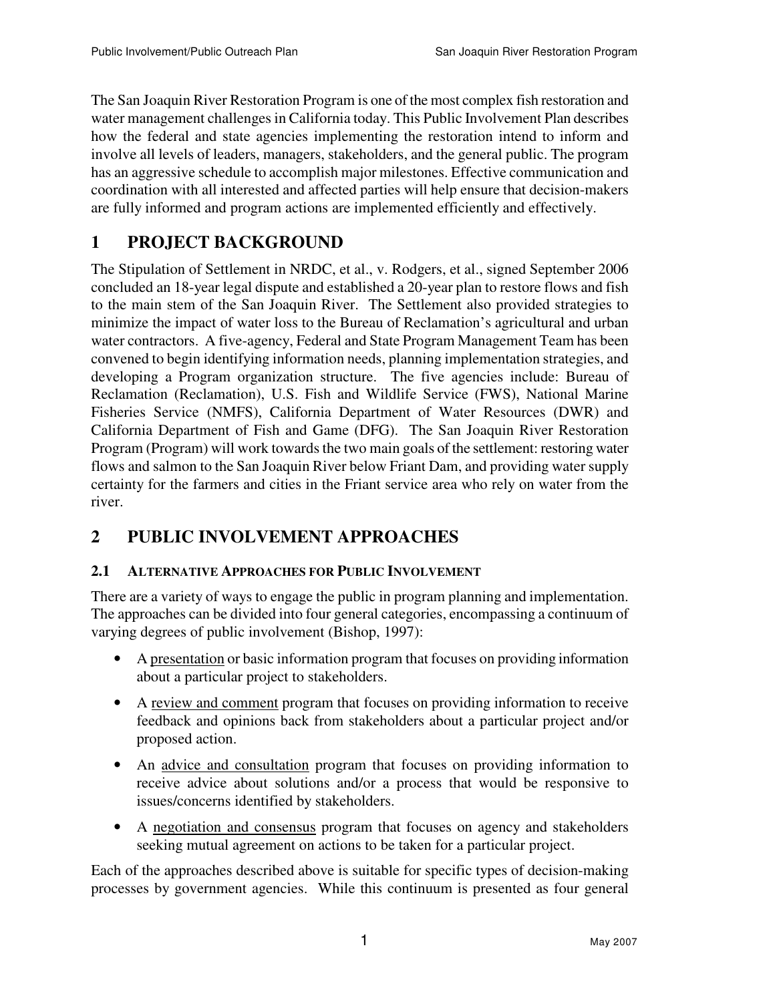The San Joaquin River Restoration Program is one of the most complex fish restoration and water management challenges in California today. This Public Involvement Plan describes how the federal and state agencies implementing the restoration intend to inform and involve all levels of leaders, managers, stakeholders, and the general public. The program has an aggressive schedule to accomplish major milestones. Effective communication and coordination with all interested and affected parties will help ensure that decision-makers are fully informed and program actions are implemented efficiently and effectively.

# **1 PROJECT BACKGROUND**

The Stipulation of Settlement in NRDC, et al., v. Rodgers, et al., signed September 2006 concluded an 18-year legal dispute and established a 20-year plan to restore flows and fish to the main stem of the San Joaquin River. The Settlement also provided strategies to minimize the impact of water loss to the Bureau of Reclamation's agricultural and urban water contractors. A five-agency, Federal and State Program Management Team has been convened to begin identifying information needs, planning implementation strategies, and developing a Program organization structure. The five agencies include: Bureau of Reclamation (Reclamation), U.S. Fish and Wildlife Service (FWS), National Marine Fisheries Service (NMFS), California Department of Water Resources (DWR) and California Department of Fish and Game (DFG). The San Joaquin River Restoration Program (Program) will work towards the two main goals of the settlement: restoring water flows and salmon to the San Joaquin River below Friant Dam, and providing water supply certainty for the farmers and cities in the Friant service area who rely on water from the river.

# **2 PUBLIC INVOLVEMENT APPROACHES**

# **2.1 ALTERNATIVE APPROACHES FOR PUBLIC INVOLVEMENT**

There are a variety of ways to engage the public in program planning and implementation. The approaches can be divided into four general categories, encompassing a continuum of varying degrees of public involvement (Bishop, 1997):

- A presentation or basic information program that focuses on providing information about a particular project to stakeholders.
- A review and comment program that focuses on providing information to receive feedback and opinions back from stakeholders about a particular project and/or proposed action.
- An advice and consultation program that focuses on providing information to receive advice about solutions and/or a process that would be responsive to issues/concerns identified by stakeholders.
- A negotiation and consensus program that focuses on agency and stakeholders seeking mutual agreement on actions to be taken for a particular project.

Each of the approaches described above is suitable for specific types of decision-making processes by government agencies. While this continuum is presented as four general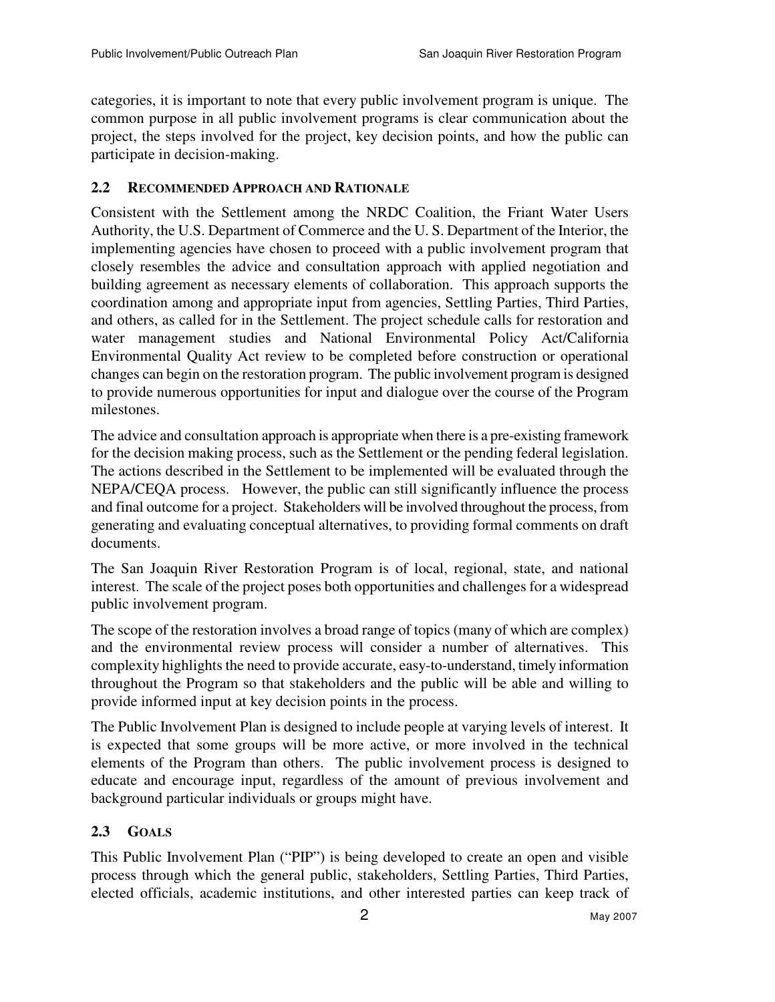categories, it is important to note that every public involvement program is unique. The common purpose in all public involvement programs is clear communication about the project, the steps involved for the project, key decision points, and how the public can participate in decision-making.

### **2.2 RECOMMENDED APPROACH AND RATIONALE**

Consistent with the Settlement among the NRDC Coalition, the Friant Water Users Authority, the U.S. Department of Commerce and the U. S. Department of the Interior, the implementing agencies have chosen to proceed with a public involvement program that closely resembles the advice and consultation approach with applied negotiation and building agreement as necessary elements of collaboration. This approach supports the coordination among and appropriate input from agencies, Settling Parties, Third Parties, and others, as called for in the Settlement. The project schedule calls for restoration and water management studies and National Environmental Policy Act/California Environmental Quality Act review to be completed before construction or operational changes can begin on the restoration program. The public involvement program is designed to provide numerous opportunities for input and dialogue over the course of the Program milestones.

The advice and consultation approach is appropriate when there is a pre-existing framework for the decision making process, such as the Settlement or the pending federal legislation. The actions described in the Settlement to be implemented will be evaluated through the NEPA/CEQA process. However, the public can still significantly influence the process and final outcome for a project. Stakeholders will be involved throughout the process, from generating and evaluating conceptual alternatives, to providing formal comments on draft documents.

The San Joaquin River Restoration Program is of local, regional, state, and national interest. The scale of the project poses both opportunities and challenges for a widespread public involvement program.

The scope of the restoration involves a broad range of topics (many of which are complex) and the environmental review process will consider a number of alternatives. This complexity highlights the need to provide accurate, easy-to-understand, timely information throughout the Program so that stakeholders and the public will be able and willing to provide informed input at key decision points in the process.

The Public Involvement Plan is designed to include people at varying levels of interest. It is expected that some groups will be more active, or more involved in the technical elements of the Program than others. The public involvement process is designed to educate and encourage input, regardless of the amount of previous involvement and background particular individuals or groups might have.

## **2.3 GOALS**

This Public Involvement Plan ("PIP") is being developed to create an open and visible process through which the general public, stakeholders, Settling Parties, Third Parties, elected officials, academic institutions, and other interested parties can keep track of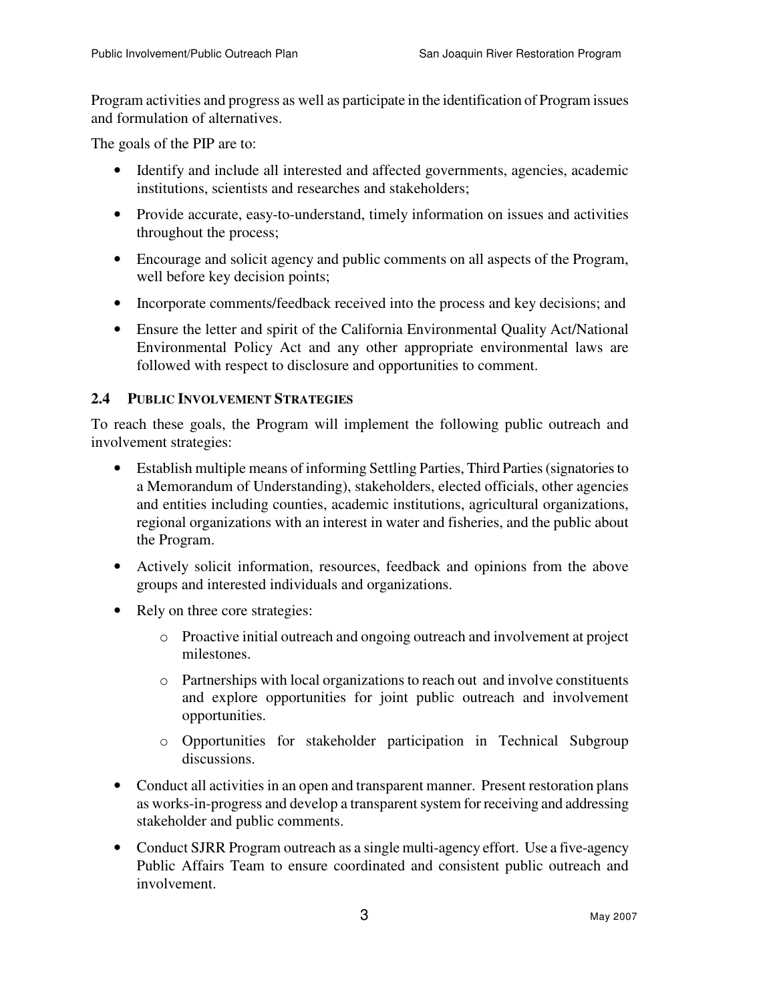Program activities and progress as well as participate in the identification of Program issues and formulation of alternatives.

The goals of the PIP are to:

- Identify and include all interested and affected governments, agencies, academic institutions, scientists and researches and stakeholders;
- Provide accurate, easy-to-understand, timely information on issues and activities throughout the process;
- Encourage and solicit agency and public comments on all aspects of the Program, well before key decision points;
- Incorporate comments/feedback received into the process and key decisions; and
- Ensure the letter and spirit of the California Environmental Quality Act/National Environmental Policy Act and any other appropriate environmental laws are followed with respect to disclosure and opportunities to comment.

### **2.4 PUBLIC INVOLVEMENT STRATEGIES**

To reach these goals, the Program will implement the following public outreach and involvement strategies:

- Establish multiple means of informing Settling Parties, Third Parties (signatories to a Memorandum of Understanding), stakeholders, elected officials, other agencies and entities including counties, academic institutions, agricultural organizations, regional organizations with an interest in water and fisheries, and the public about the Program.
- Actively solicit information, resources, feedback and opinions from the above groups and interested individuals and organizations.
- Rely on three core strategies:
	- o Proactive initial outreach and ongoing outreach and involvement at project milestones.
	- o Partnerships with local organizations to reach out and involve constituents and explore opportunities for joint public outreach and involvement opportunities.
	- o Opportunities for stakeholder participation in Technical Subgroup discussions.
- Conduct all activities in an open and transparent manner. Present restoration plans as works-in-progress and develop a transparent system for receiving and addressing stakeholder and public comments.
- Conduct SJRR Program outreach as a single multi-agency effort. Use a five-agency Public Affairs Team to ensure coordinated and consistent public outreach and involvement.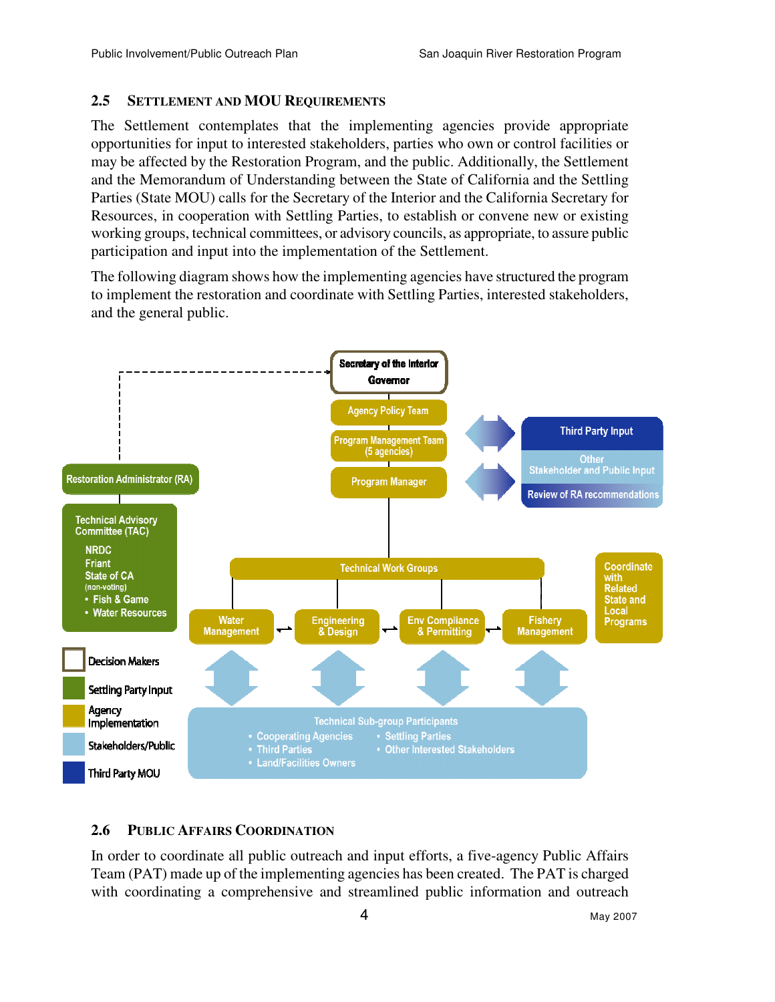#### **2.5 SETTLEMENT AND MOU REQUIREMENTS**

The Settlement contemplates that the implementing agencies provide appropriate opportunities for input to interested stakeholders, parties who own or control facilities or may be affected by the Restoration Program, and the public. Additionally, the Settlement and the Memorandum of Understanding between the State of California and the Settling Parties (State MOU) calls for the Secretary of the Interior and the California Secretary for Resources, in cooperation with Settling Parties, to establish or convene new or existing working groups, technical committees, or advisory councils, as appropriate, to assure public participation and input into the implementation of the Settlement.

The following diagram shows how the implementing agencies have structured the program to implement the restoration and coordinate with Settling Parties, interested stakeholders, and the general public.



### **2.6 PUBLIC AFFAIRS COORDINATION**

In order to coordinate all public outreach and input efforts, a five-agency Public Affairs Team (PAT) made up of the implementing agencies has been created. The PAT is charged with coordinating a comprehensive and streamlined public information and outreach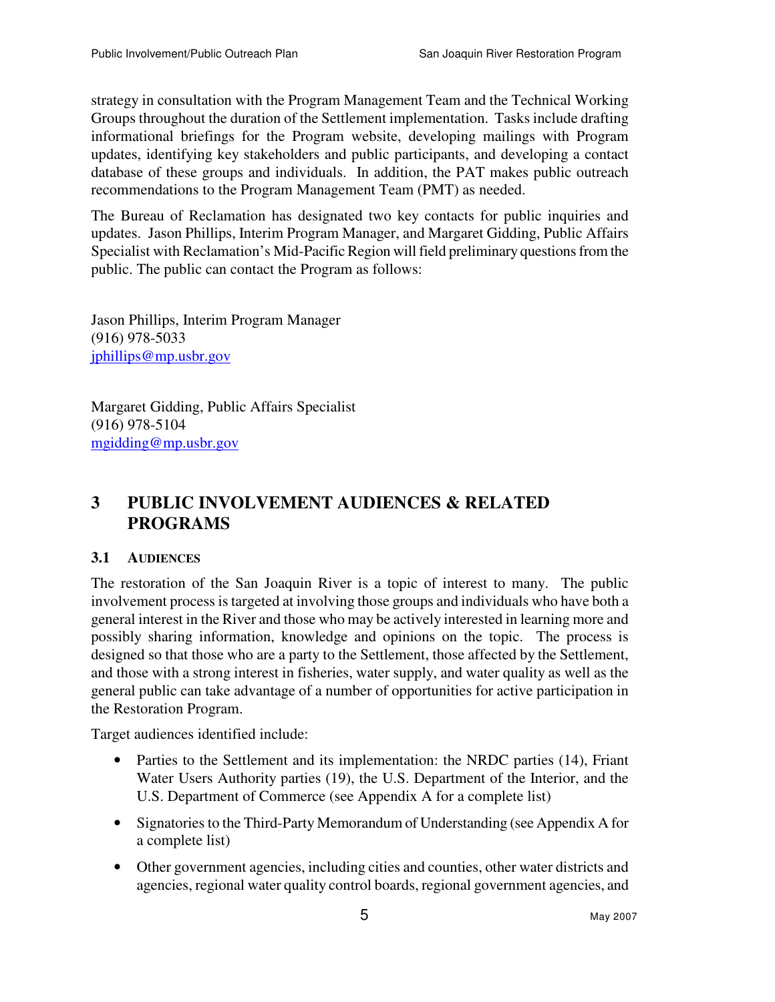strategy in consultation with the Program Management Team and the Technical Working Groups throughout the duration of the Settlement implementation. Tasks include drafting informational briefings for the Program website, developing mailings with Program updates, identifying key stakeholders and public participants, and developing a contact database of these groups and individuals. In addition, the PAT makes public outreach recommendations to the Program Management Team (PMT) as needed.

The Bureau of Reclamation has designated two key contacts for public inquiries and updates. Jason Phillips, Interim Program Manager, and Margaret Gidding, Public Affairs Specialist with Reclamation's Mid-Pacific Region will field preliminary questions from the public. The public can contact the Program as follows:

Jason Phillips, Interim Program Manager (916) 978-5033 jphillips@mp.usbr.gov

Margaret Gidding, Public Affairs Specialist (916) 978-5104 mgidding@mp.usbr.gov

# **3 PUBLIC INVOLVEMENT AUDIENCES & RELATED PROGRAMS**

## **3.1 AUDIENCES**

The restoration of the San Joaquin River is a topic of interest to many. The public involvement process is targeted at involving those groups and individuals who have both a general interest in the River and those who may be actively interested in learning more and possibly sharing information, knowledge and opinions on the topic. The process is designed so that those who are a party to the Settlement, those affected by the Settlement, and those with a strong interest in fisheries, water supply, and water quality as well as the general public can take advantage of a number of opportunities for active participation in the Restoration Program.

Target audiences identified include:

- Parties to the Settlement and its implementation: the NRDC parties (14), Friant Water Users Authority parties (19), the U.S. Department of the Interior, and the U.S. Department of Commerce (see Appendix A for a complete list)
- Signatories to the Third-Party Memorandum of Understanding (see Appendix A for a complete list)
- Other government agencies, including cities and counties, other water districts and agencies, regional water quality control boards, regional government agencies, and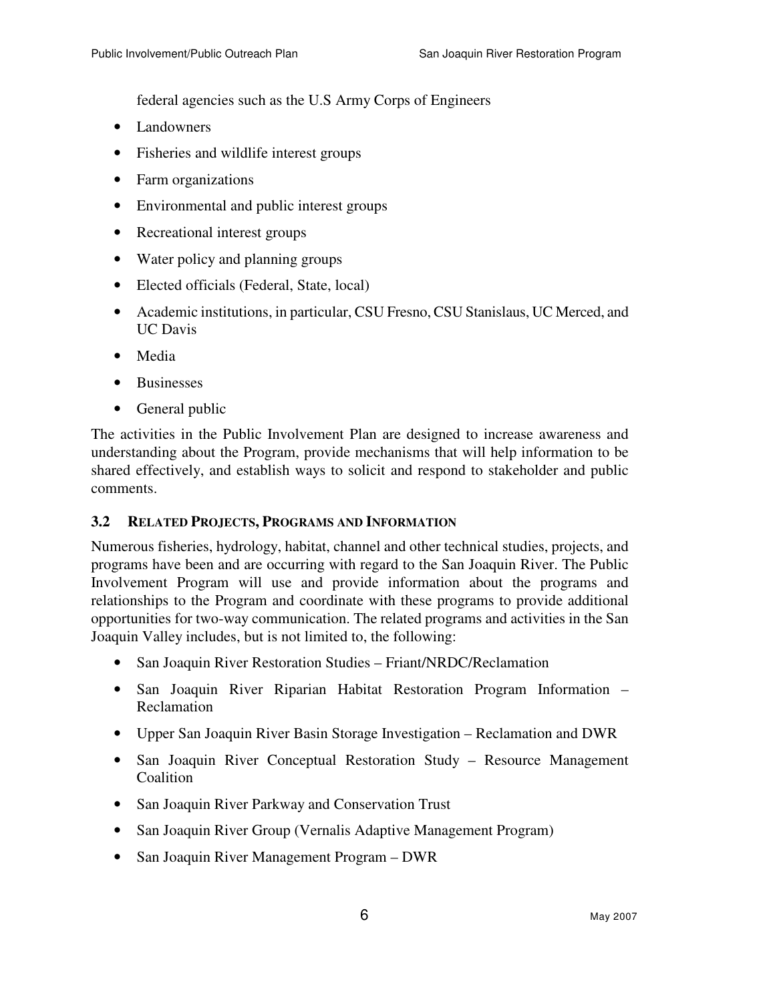federal agencies such as the U.S Army Corps of Engineers

- Landowners
- Fisheries and wildlife interest groups
- Farm organizations
- Environmental and public interest groups
- Recreational interest groups
- Water policy and planning groups
- Elected officials (Federal, State, local)
- Academic institutions, in particular, CSU Fresno, CSU Stanislaus, UC Merced, and UC Davis
- Media
- Businesses
- General public

The activities in the Public Involvement Plan are designed to increase awareness and understanding about the Program, provide mechanisms that will help information to be shared effectively, and establish ways to solicit and respond to stakeholder and public comments.

### **3.2 RELATED PROJECTS, PROGRAMS AND INFORMATION**

Numerous fisheries, hydrology, habitat, channel and other technical studies, projects, and programs have been and are occurring with regard to the San Joaquin River. The Public Involvement Program will use and provide information about the programs and relationships to the Program and coordinate with these programs to provide additional opportunities for two-way communication. The related programs and activities in the San Joaquin Valley includes, but is not limited to, the following:

- San Joaquin River Restoration Studies Friant/NRDC/Reclamation
- San Joaquin River Riparian Habitat Restoration Program Information Reclamation
- Upper San Joaquin River Basin Storage Investigation Reclamation and DWR
- San Joaquin River Conceptual Restoration Study Resource Management **Coalition**
- San Joaquin River Parkway and Conservation Trust
- San Joaquin River Group (Vernalis Adaptive Management Program)
- San Joaquin River Management Program DWR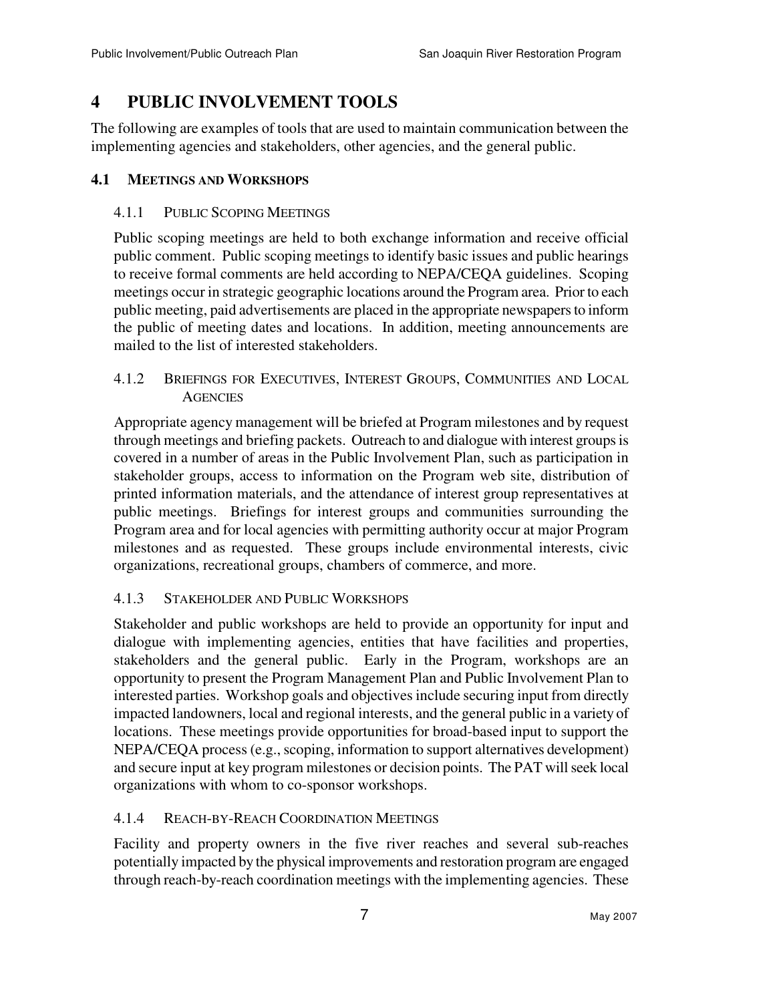# **4 PUBLIC INVOLVEMENT TOOLS**

The following are examples of tools that are used to maintain communication between the implementing agencies and stakeholders, other agencies, and the general public.

## **4.1 MEETINGS AND WORKSHOPS**

### 4.1.1 PUBLIC SCOPING MEETINGS

Public scoping meetings are held to both exchange information and receive official public comment. Public scoping meetings to identify basic issues and public hearings to receive formal comments are held according to NEPA/CEQA guidelines. Scoping meetings occur in strategic geographic locations around the Program area. Prior to each public meeting, paid advertisements are placed in the appropriate newspapers to inform the public of meeting dates and locations. In addition, meeting announcements are mailed to the list of interested stakeholders.

4.1.2 BRIEFINGS FOR EXECUTIVES, INTEREST GROUPS, COMMUNITIES AND LOCAL **AGENCIES** 

Appropriate agency management will be briefed at Program milestones and by request through meetings and briefing packets. Outreach to and dialogue with interest groups is covered in a number of areas in the Public Involvement Plan, such as participation in stakeholder groups, access to information on the Program web site, distribution of printed information materials, and the attendance of interest group representatives at public meetings. Briefings for interest groups and communities surrounding the Program area and for local agencies with permitting authority occur at major Program milestones and as requested. These groups include environmental interests, civic organizations, recreational groups, chambers of commerce, and more.

## 4.1.3 STAKEHOLDER AND PUBLIC WORKSHOPS

Stakeholder and public workshops are held to provide an opportunity for input and dialogue with implementing agencies, entities that have facilities and properties, stakeholders and the general public. Early in the Program, workshops are an opportunity to present the Program Management Plan and Public Involvement Plan to interested parties. Workshop goals and objectives include securing input from directly impacted landowners, local and regional interests, and the general public in a variety of locations. These meetings provide opportunities for broad-based input to support the NEPA/CEQA process (e.g., scoping, information to support alternatives development) and secure input at key program milestones or decision points. The PAT will seek local organizations with whom to co-sponsor workshops.

## 4.1.4 REACH-BY-REACH COORDINATION MEETINGS

Facility and property owners in the five river reaches and several sub-reaches potentially impacted by the physical improvements and restoration program are engaged through reach-by-reach coordination meetings with the implementing agencies. These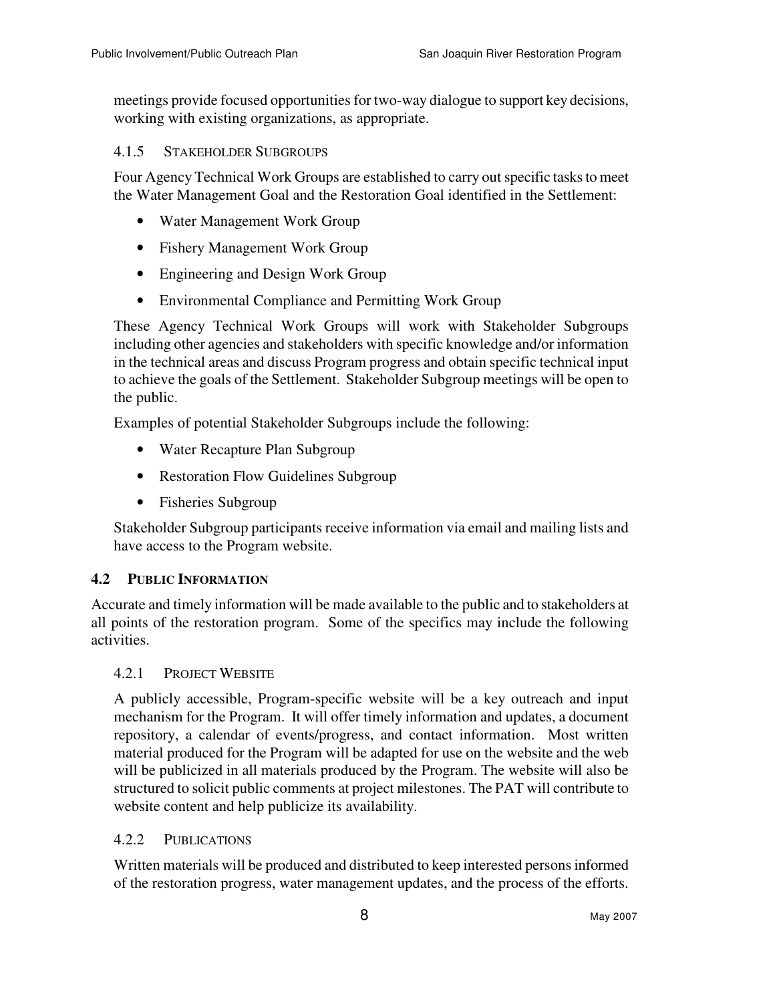meetings provide focused opportunities for two-way dialogue to support key decisions, working with existing organizations, as appropriate.

4.1.5 STAKEHOLDER SUBGROUPS

Four Agency Technical Work Groups are established to carry out specific tasks to meet the Water Management Goal and the Restoration Goal identified in the Settlement:

- Water Management Work Group
- Fishery Management Work Group
- Engineering and Design Work Group
- Environmental Compliance and Permitting Work Group

These Agency Technical Work Groups will work with Stakeholder Subgroups including other agencies and stakeholders with specific knowledge and/or information in the technical areas and discuss Program progress and obtain specific technical input to achieve the goals of the Settlement. Stakeholder Subgroup meetings will be open to the public.

Examples of potential Stakeholder Subgroups include the following:

- Water Recapture Plan Subgroup
- Restoration Flow Guidelines Subgroup
- Fisheries Subgroup

Stakeholder Subgroup participants receive information via email and mailing lists and have access to the Program website.

### **4.2 PUBLIC INFORMATION**

Accurate and timely information will be made available to the public and to stakeholders at all points of the restoration program. Some of the specifics may include the following activities.

#### 4.2.1 PROJECT WEBSITE

A publicly accessible, Program-specific website will be a key outreach and input mechanism for the Program. It will offer timely information and updates, a document repository, a calendar of events/progress, and contact information. Most written material produced for the Program will be adapted for use on the website and the web will be publicized in all materials produced by the Program. The website will also be structured to solicit public comments at project milestones. The PAT will contribute to website content and help publicize its availability.

### 4.2.2 PUBLICATIONS

Written materials will be produced and distributed to keep interested persons informed of the restoration progress, water management updates, and the process of the efforts.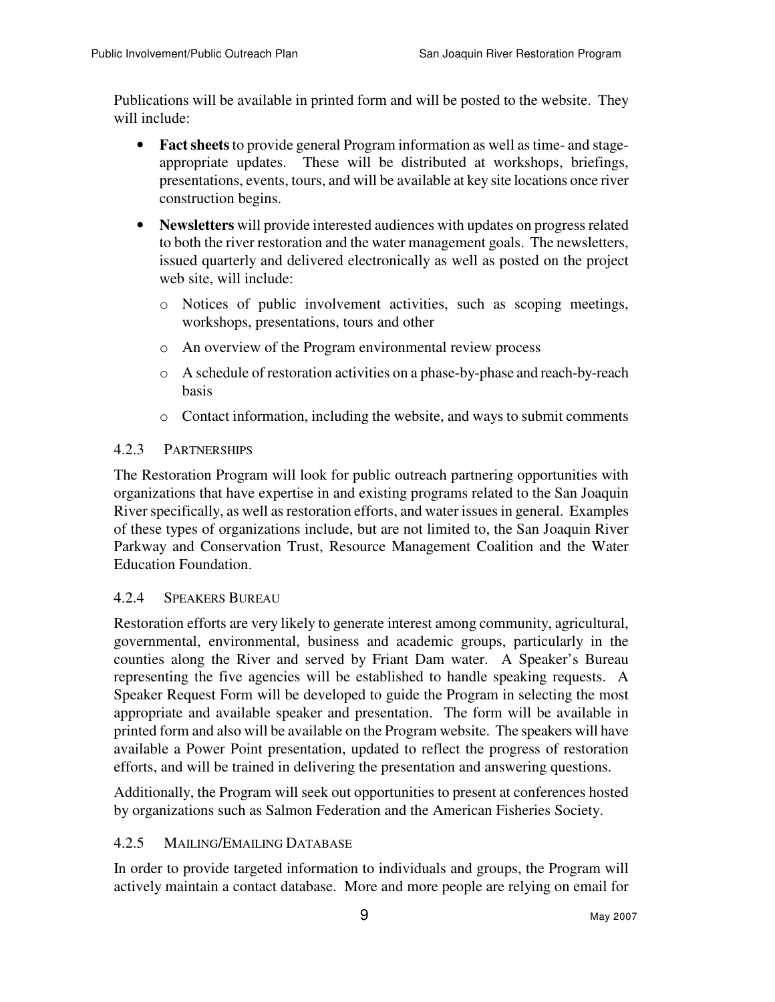Publications will be available in printed form and will be posted to the website. They will include:

- **Fact sheets** to provide general Program information as well as time- and stageappropriate updates. These will be distributed at workshops, briefings, presentations, events, tours, and will be available at key site locations once river construction begins.
- **Newsletters** will provide interested audiences with updates on progress related to both the river restoration and the water management goals. The newsletters, issued quarterly and delivered electronically as well as posted on the project web site, will include:
	- o Notices of public involvement activities, such as scoping meetings, workshops, presentations, tours and other
	- o An overview of the Program environmental review process
	- o A schedule of restoration activities on a phase-by-phase and reach-by-reach basis
	- o Contact information, including the website, and ways to submit comments

## 4.2.3 PARTNERSHIPS

The Restoration Program will look for public outreach partnering opportunities with organizations that have expertise in and existing programs related to the San Joaquin River specifically, as well as restoration efforts, and water issues in general. Examples of these types of organizations include, but are not limited to, the San Joaquin River Parkway and Conservation Trust, Resource Management Coalition and the Water Education Foundation.

### 4.2.4 SPEAKERS BUREAU

Restoration efforts are very likely to generate interest among community, agricultural, governmental, environmental, business and academic groups, particularly in the counties along the River and served by Friant Dam water. A Speaker's Bureau representing the five agencies will be established to handle speaking requests. A Speaker Request Form will be developed to guide the Program in selecting the most appropriate and available speaker and presentation. The form will be available in printed form and also will be available on the Program website. The speakers will have available a Power Point presentation, updated to reflect the progress of restoration efforts, and will be trained in delivering the presentation and answering questions.

Additionally, the Program will seek out opportunities to present at conferences hosted by organizations such as Salmon Federation and the American Fisheries Society.

### 4.2.5 MAILING/EMAILING DATABASE

In order to provide targeted information to individuals and groups, the Program will actively maintain a contact database. More and more people are relying on email for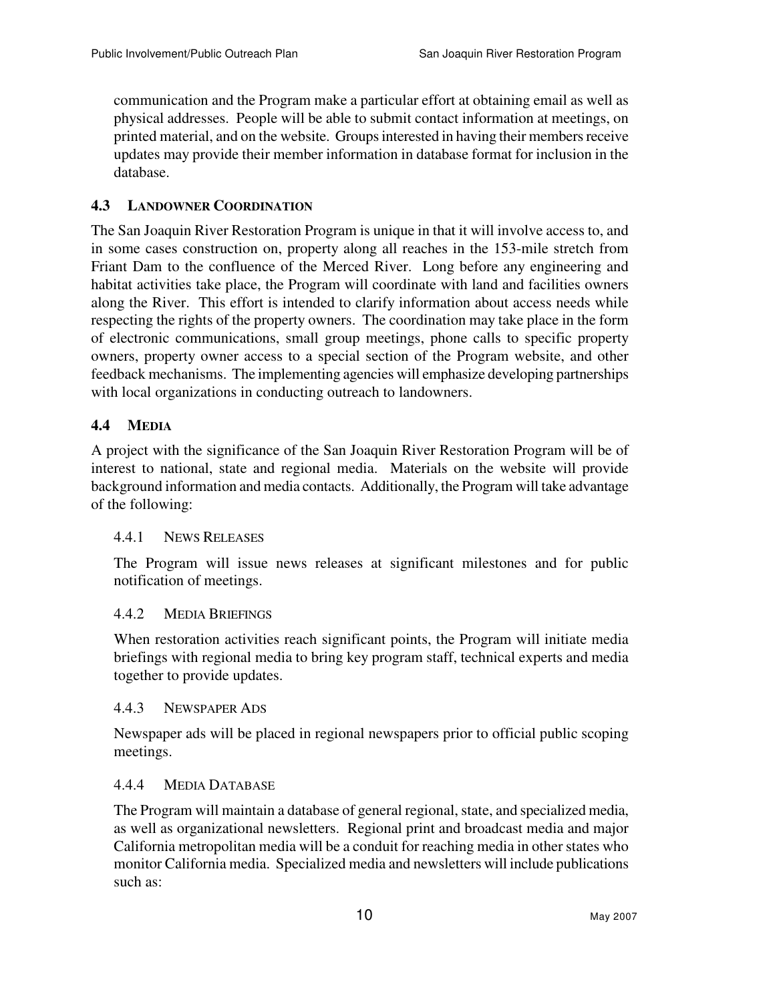communication and the Program make a particular effort at obtaining email as well as physical addresses. People will be able to submit contact information at meetings, on printed material, and on the website. Groups interested in having their members receive updates may provide their member information in database format for inclusion in the database.

### **4.3 LANDOWNER COORDINATION**

The San Joaquin River Restoration Program is unique in that it will involve access to, and in some cases construction on, property along all reaches in the 153-mile stretch from Friant Dam to the confluence of the Merced River. Long before any engineering and habitat activities take place, the Program will coordinate with land and facilities owners along the River. This effort is intended to clarify information about access needs while respecting the rights of the property owners. The coordination may take place in the form of electronic communications, small group meetings, phone calls to specific property owners, property owner access to a special section of the Program website, and other feedback mechanisms. The implementing agencies will emphasize developing partnerships with local organizations in conducting outreach to landowners.

## **4.4 MEDIA**

A project with the significance of the San Joaquin River Restoration Program will be of interest to national, state and regional media. Materials on the website will provide background information and media contacts. Additionally, the Program will take advantage of the following:

### 4.4.1 NEWS RELEASES

The Program will issue news releases at significant milestones and for public notification of meetings.

### 4.4.2 MEDIA BRIEFINGS

When restoration activities reach significant points, the Program will initiate media briefings with regional media to bring key program staff, technical experts and media together to provide updates.

#### 4.4.3 NEWSPAPER ADS

Newspaper ads will be placed in regional newspapers prior to official public scoping meetings.

### 4.4.4 MEDIA DATABASE

The Program will maintain a database of general regional, state, and specialized media, as well as organizational newsletters. Regional print and broadcast media and major California metropolitan media will be a conduit for reaching media in other states who monitor California media. Specialized media and newsletters will include publications such as: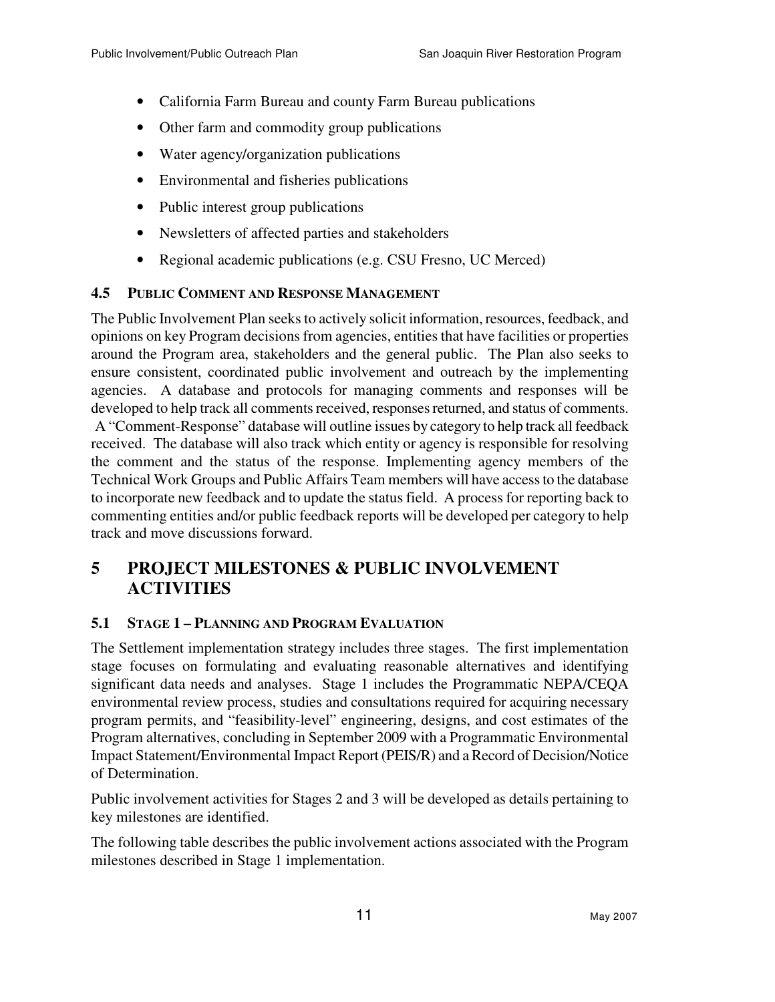- California Farm Bureau and county Farm Bureau publications
- Other farm and commodity group publications
- Water agency/organization publications
- Environmental and fisheries publications
- Public interest group publications
- Newsletters of affected parties and stakeholders
- Regional academic publications (e.g. CSU Fresno, UC Merced)

## **4.5 PUBLIC COMMENT AND RESPONSE MANAGEMENT**

The Public Involvement Plan seeks to actively solicit information, resources, feedback, and opinions on key Program decisions from agencies, entities that have facilities or properties around the Program area, stakeholders and the general public. The Plan also seeks to ensure consistent, coordinated public involvement and outreach by the implementing agencies. A database and protocols for managing comments and responses will be developed to help track all comments received, responses returned, and status of comments. A "Comment-Response" database will outline issues by category to help track all feedback received. The database will also track which entity or agency is responsible for resolving the comment and the status of the response. Implementing agency members of the Technical Work Groups and Public Affairs Team members will have access to the database to incorporate new feedback and to update the status field. A process for reporting back to commenting entities and/or public feedback reports will be developed per category to help track and move discussions forward.

# **5 PROJECT MILESTONES & PUBLIC INVOLVEMENT ACTIVITIES**

## **5.1 STAGE 1 – PLANNING AND PROGRAM EVALUATION**

The Settlement implementation strategy includes three stages. The first implementation stage focuses on formulating and evaluating reasonable alternatives and identifying significant data needs and analyses. Stage 1 includes the Programmatic NEPA/CEQA environmental review process, studies and consultations required for acquiring necessary program permits, and "feasibility-level" engineering, designs, and cost estimates of the Program alternatives, concluding in September 2009 with a Programmatic Environmental Impact Statement/Environmental Impact Report (PEIS/R) and a Record of Decision/Notice of Determination.

Public involvement activities for Stages 2 and 3 will be developed as details pertaining to key milestones are identified.

The following table describes the public involvement actions associated with the Program milestones described in Stage 1 implementation.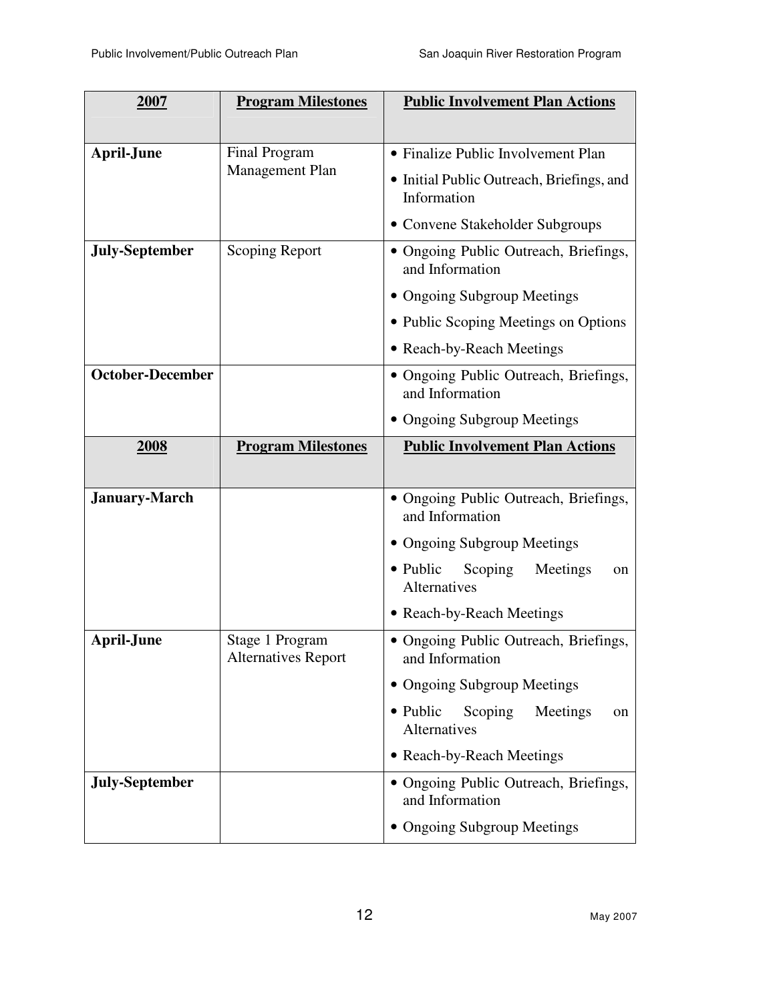| 2007                    | <b>Program Milestones</b>                     | <b>Public Involvement Plan Actions</b>                       |
|-------------------------|-----------------------------------------------|--------------------------------------------------------------|
|                         |                                               |                                                              |
| <b>April-June</b>       | Final Program                                 | • Finalize Public Involvement Plan                           |
|                         | <b>Management Plan</b>                        | • Initial Public Outreach, Briefings, and<br>Information     |
|                         |                                               | • Convene Stakeholder Subgroups                              |
| <b>July-September</b>   | <b>Scoping Report</b>                         | • Ongoing Public Outreach, Briefings,<br>and Information     |
|                         |                                               | • Ongoing Subgroup Meetings                                  |
|                         |                                               | • Public Scoping Meetings on Options                         |
|                         |                                               | • Reach-by-Reach Meetings                                    |
| <b>October-December</b> |                                               | • Ongoing Public Outreach, Briefings,<br>and Information     |
|                         |                                               | • Ongoing Subgroup Meetings                                  |
| 2008                    | <b>Program Milestones</b>                     | <b>Public Involvement Plan Actions</b>                       |
| <b>January-March</b>    |                                               | • Ongoing Public Outreach, Briefings,<br>and Information     |
|                         |                                               | • Ongoing Subgroup Meetings                                  |
|                         |                                               | • Public<br>Scoping<br>Meetings<br>on<br><b>Alternatives</b> |
|                         |                                               | • Reach-by-Reach Meetings                                    |
| <b>April-June</b>       | Stage 1 Program<br><b>Alternatives Report</b> | • Ongoing Public Outreach, Briefings,<br>and Information     |
|                         |                                               | • Ongoing Subgroup Meetings                                  |
|                         |                                               | Scoping<br>• Public<br>Meetings<br>on<br>Alternatives        |
|                         |                                               | • Reach-by-Reach Meetings                                    |
| <b>July-September</b>   |                                               | • Ongoing Public Outreach, Briefings,<br>and Information     |
|                         |                                               | <b>Ongoing Subgroup Meetings</b>                             |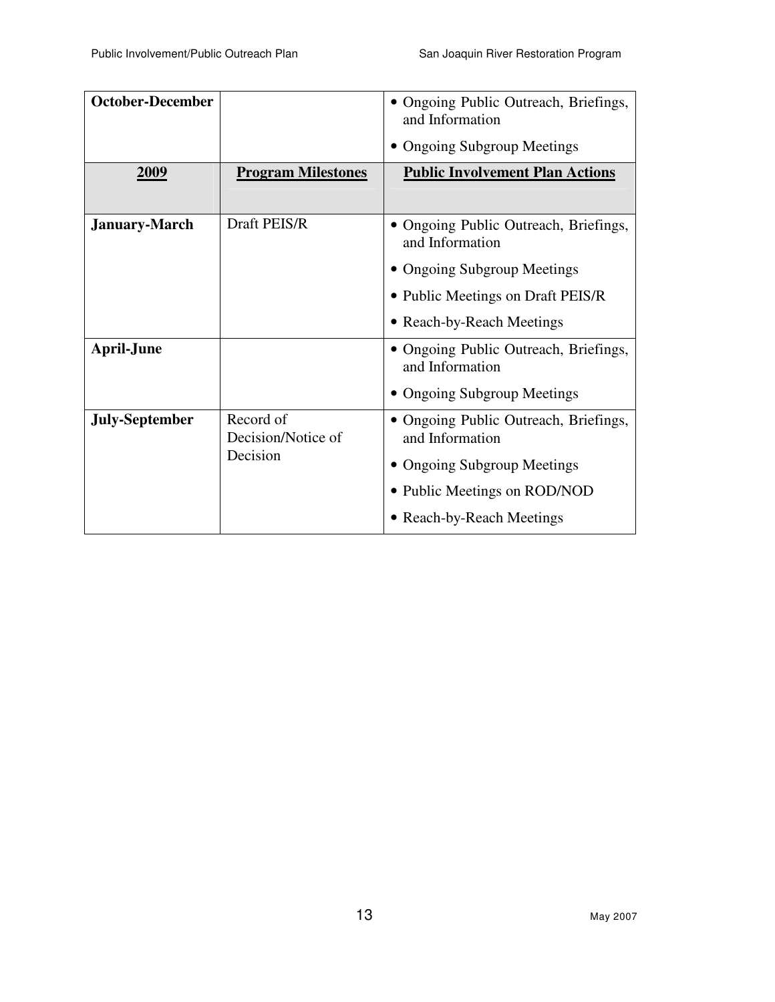| <b>October-December</b> |                                             | • Ongoing Public Outreach, Briefings,<br>and Information |
|-------------------------|---------------------------------------------|----------------------------------------------------------|
|                         |                                             | • Ongoing Subgroup Meetings                              |
| 2009                    | <b>Program Milestones</b>                   | <b>Public Involvement Plan Actions</b>                   |
| <b>January-March</b>    | Draft PEIS/R                                | • Ongoing Public Outreach, Briefings,<br>and Information |
|                         |                                             | • Ongoing Subgroup Meetings                              |
|                         |                                             | • Public Meetings on Draft PEIS/R                        |
|                         |                                             | • Reach-by-Reach Meetings                                |
| <b>April-June</b>       |                                             | • Ongoing Public Outreach, Briefings,<br>and Information |
|                         |                                             | • Ongoing Subgroup Meetings                              |
| <b>July-September</b>   | Record of<br>Decision/Notice of<br>Decision | • Ongoing Public Outreach, Briefings,<br>and Information |
|                         |                                             | • Ongoing Subgroup Meetings                              |
|                         |                                             | • Public Meetings on ROD/NOD                             |
|                         |                                             | • Reach-by-Reach Meetings                                |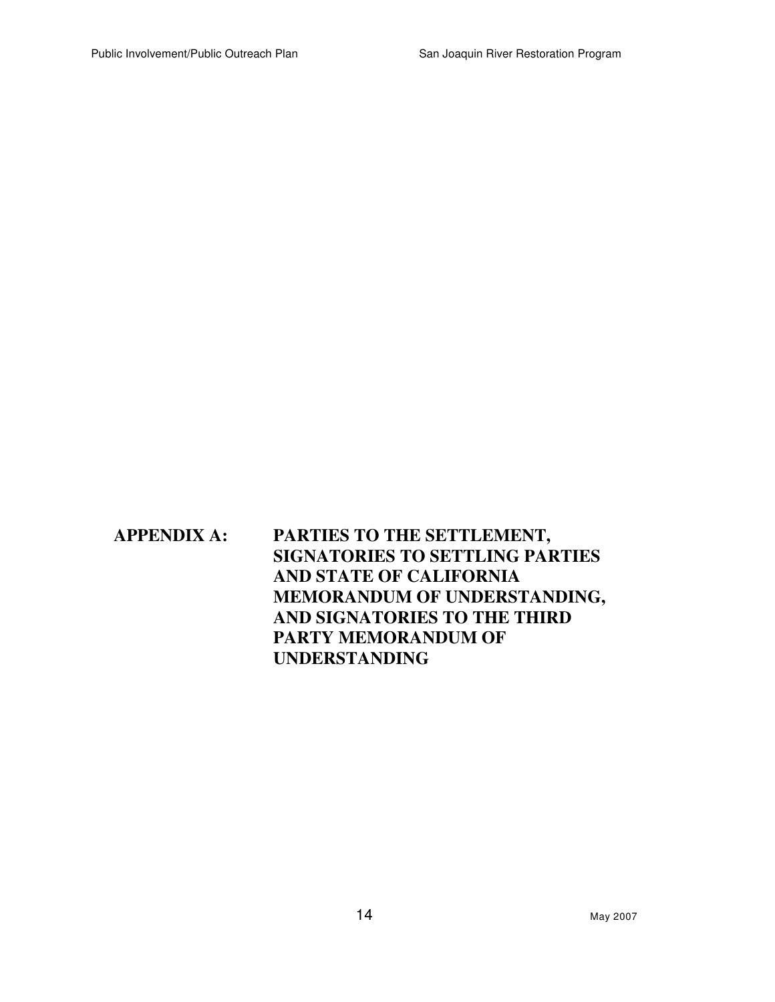# **APPENDIX A: PARTIES TO THE SETTLEMENT, SIGNATORIES TO SETTLING PARTIES AND STATE OF CALIFORNIA MEMORANDUM OF UNDERSTANDING, AND SIGNATORIES TO THE THIRD PARTY MEMORANDUM OF UNDERSTANDING**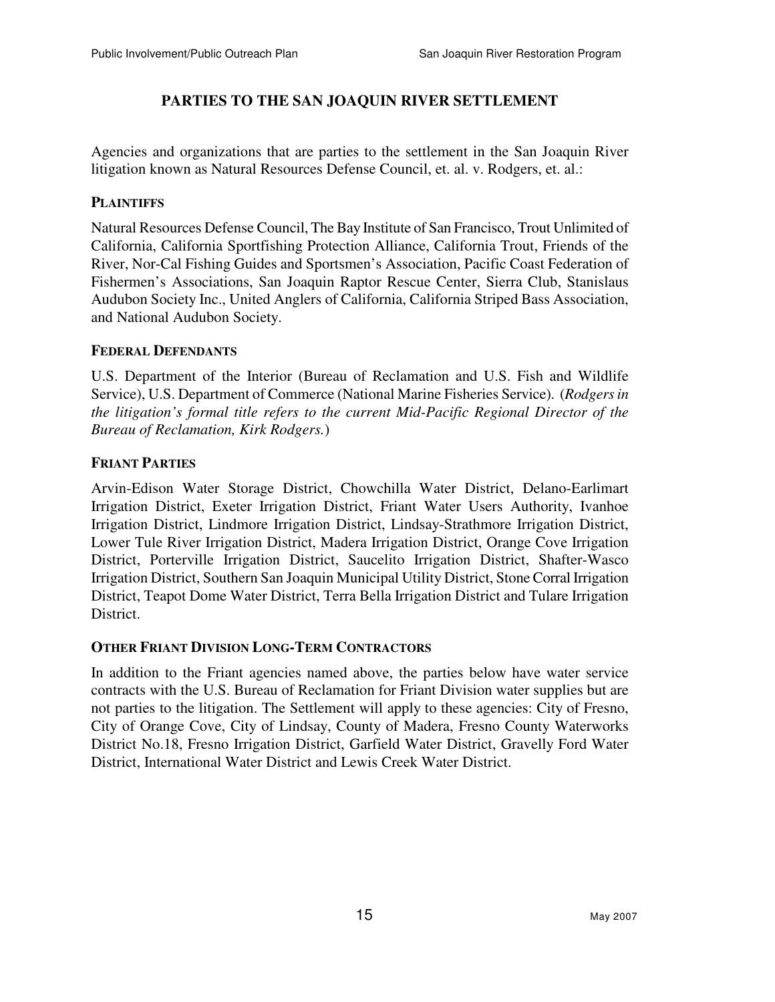### **PARTIES TO THE SAN JOAQUIN RIVER SETTLEMENT**

Agencies and organizations that are parties to the settlement in the San Joaquin River litigation known as Natural Resources Defense Council, et. al. v. Rodgers, et. al.:

#### **PLAINTIFFS**

Natural Resources Defense Council, The Bay Institute of San Francisco, Trout Unlimited of California, California Sportfishing Protection Alliance, California Trout, Friends of the River, Nor-Cal Fishing Guides and Sportsmen's Association, Pacific Coast Federation of Fishermen's Associations, San Joaquin Raptor Rescue Center, Sierra Club, Stanislaus Audubon Society Inc., United Anglers of California, California Striped Bass Association, and National Audubon Society.

#### **FEDERAL DEFENDANTS**

U.S. Department of the Interior (Bureau of Reclamation and U.S. Fish and Wildlife Service), U.S. Department of Commerce (National Marine Fisheries Service). (*Rodgers in the litigation's formal title refers to the current Mid-Pacific Regional Director of the Bureau of Reclamation, Kirk Rodgers.*)

#### **FRIANT PARTIES**

Arvin-Edison Water Storage District, Chowchilla Water District, Delano-Earlimart Irrigation District, Exeter Irrigation District, Friant Water Users Authority, Ivanhoe Irrigation District, Lindmore Irrigation District, Lindsay-Strathmore Irrigation District, Lower Tule River Irrigation District, Madera Irrigation District, Orange Cove Irrigation District, Porterville Irrigation District, Saucelito Irrigation District, Shafter-Wasco Irrigation District, Southern San Joaquin Municipal Utility District, Stone Corral Irrigation District, Teapot Dome Water District, Terra Bella Irrigation District and Tulare Irrigation District.

#### **OTHER FRIANT DIVISION LONG-TERM CONTRACTORS**

In addition to the Friant agencies named above, the parties below have water service contracts with the U.S. Bureau of Reclamation for Friant Division water supplies but are not parties to the litigation. The Settlement will apply to these agencies: City of Fresno, City of Orange Cove, City of Lindsay, County of Madera, Fresno County Waterworks District No.18, Fresno Irrigation District, Garfield Water District, Gravelly Ford Water District, International Water District and Lewis Creek Water District.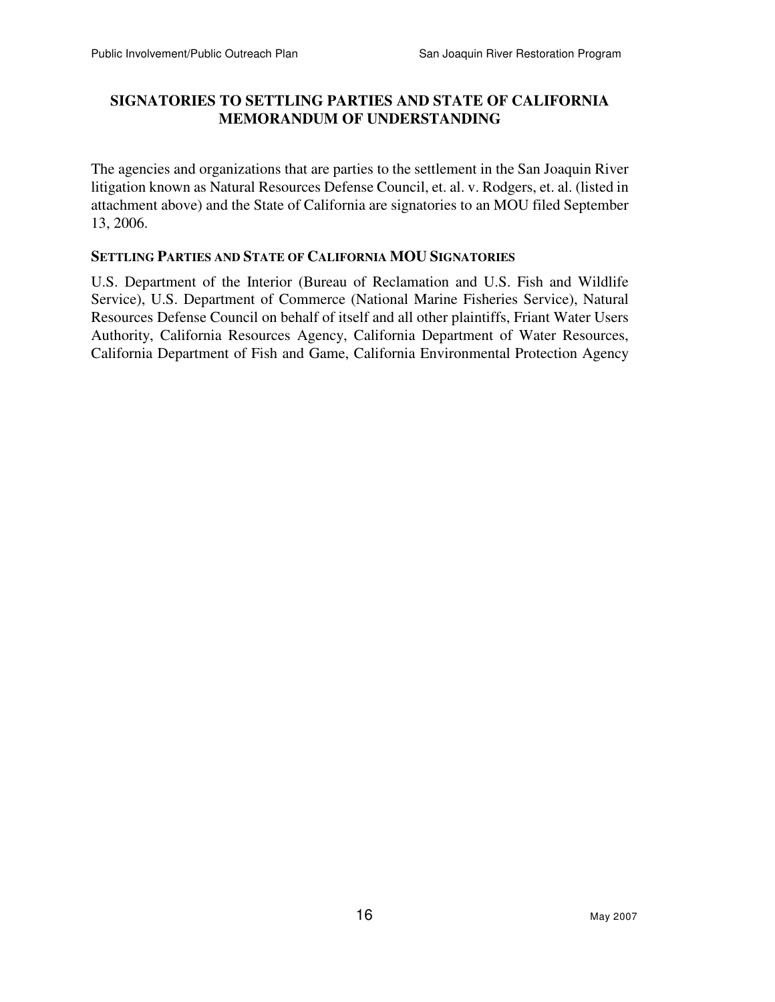### **SIGNATORIES TO SETTLING PARTIES AND STATE OF CALIFORNIA MEMORANDUM OF UNDERSTANDING**

The agencies and organizations that are parties to the settlement in the San Joaquin River litigation known as Natural Resources Defense Council, et. al. v. Rodgers, et. al. (listed in attachment above) and the State of California are signatories to an MOU filed September 13, 2006.

#### **SETTLING PARTIES AND STATE OF CALIFORNIA MOU SIGNATORIES**

U.S. Department of the Interior (Bureau of Reclamation and U.S. Fish and Wildlife Service), U.S. Department of Commerce (National Marine Fisheries Service), Natural Resources Defense Council on behalf of itself and all other plaintiffs, Friant Water Users Authority, California Resources Agency, California Department of Water Resources, California Department of Fish and Game, California Environmental Protection Agency